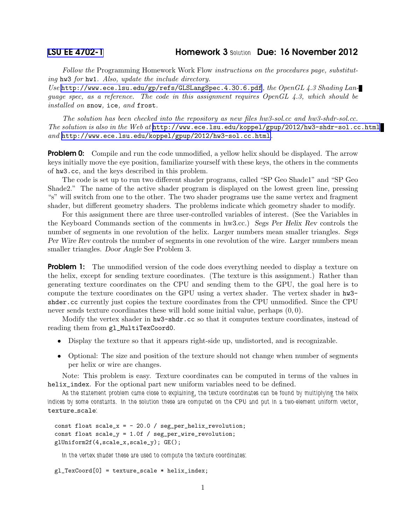## [LSU EE 4702-1](http://www.ece.lsu.edu/koppel/gpup/) Homework 3 *Solution* Due: 16 November 2012

Follow the Programming Homework Work Flow instructions on the procedures page, substituting hw3 for hw1. Also, update the include directory.

Use <http://www.ece.lsu.edu/gp/refs/GLSLangSpec.4.30.6.pdf>, the OpenGL 4.3 Shading Lanquage spec, as a reference. The code in this assignment requires OpenGL  $\ddot{4}$ . 3, which should be installed on snow, ice, and frost.

The solution has been checked into the repository as new files hw3-sol.cc and hw3-shdr-sol.cc. The solution is also in the Web at  $http://www.ece.lsu.edu/koppel/gpup/2012/hw3-shdr-sol.c.c.html$ and <http://www.ece.lsu.edu/koppel/gpup/2012/hw3-sol.cc.html>.

**Problem 0:** Compile and run the code unmodified, a yellow helix should be displayed. The arrow keys initially move the eye position, familiarize yourself with these keys, the others in the comments of hw3.cc, and the keys described in this problem.

The code is set up to run two different shader programs, called "SP Geo Shade1" and "SP Geo Shade2." The name of the active shader program is displayed on the lowest green line, pressing "s" will switch from one to the other. The two shader programs use the same vertex and fragment shader, but different geometry shaders. The problems indicate which geometry shader to modify.

For this assignment there are three user-controlled variables of interest. (See the Variables in the Keyboard Commands section of the comments in hw3.cc.) Segs Per Helix Rev controls the number of segments in one revolution of the helix. Larger numbers mean smaller triangles. Segs Per Wire Rev controls the number of segments in one revolution of the wire. Larger numbers mean smaller triangles. Door Angle See Problem 3.

**Problem 1:** The unmodified version of the code does everything needed to display a texture on the helix, except for sending texture coordinates. (The texture is this assignment.) Rather than generating texture coordinates on the CPU and sending them to the GPU, the goal here is to compute the texture coordinates on the GPU using a vertex shader. The vertex shader in hw3 shder.cc currently just copies the texture coordinates from the CPU unmodified. Since the CPU never sends texture coordinates these will hold some initial value, perhaps (0, 0).

Modify the vertex shader in hw3-shdr.cc so that it computes texture coordinates, instead of reading them from gl\_MultiTexCoord0.

- Display the texture so that it appears right-side up, undistorted, and is recognizable.
- Optional: The size and position of the texture should not change when number of segments per helix or wire are changes.

Note: This problem is easy. Texture coordinates can be computed in terms of the values in helix\_index. For the optional part new uniform variables need to be defined.

*As the statement problem came close to explaining, the texture coordinates can be found by multiplying the helix indices by some constants. In the solution these are computed on the CPU and put in a two-element uniform vector,* texture scale*:*

```
const float scale_x = -20.0 / seg_per_helix_revolution;const float scale_y = 1.0f / seg_per_wire_revolution;
glUniform2f(4,scale_x,scale_y); GE();
```
*In the vertex shader these are used to compute the texture coordinates:*

gl\_TexCoord[0] = texture\_scale \* helix\_index;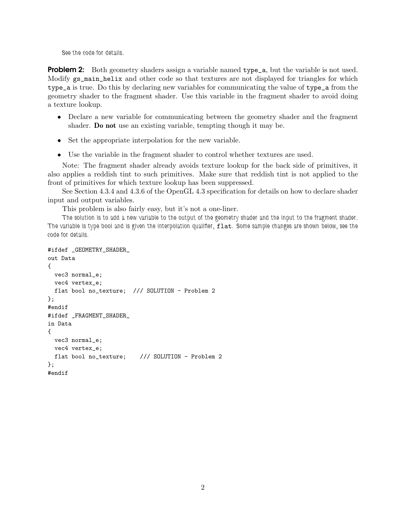*See the code for details.*

Problem 2: Both geometry shaders assign a variable named type\_a, but the variable is not used. Modify gs\_main\_helix and other code so that textures are not displayed for triangles for which type\_a is true. Do this by declaring new variables for communicating the value of type\_a from the geometry shader to the fragment shader. Use this variable in the fragment shader to avoid doing a texture lookup.

- Declare a new variable for communicating between the geometry shader and the fragment shader. Do not use an existing variable, tempting though it may be.
- Set the appropriate interpolation for the new variable.
- Use the variable in the fragment shader to control whether textures are used.

Note: The fragment shader already avoids texture lookup for the back side of primitives, it also applies a reddish tint to such primitives. Make sure that reddish tint is not applied to the front of primitives for which texture lookup has been suppressed.

See Section 4.3.4 and 4.3.6 of the OpenGL 4.3 specification for details on how to declare shader input and output variables.

This problem is also fairly easy, but it's not a one-liner.

*The solution is to add a new variable to the output of the geometry shader and the input to the fragment shader. The variable is type bool and is given the interpolation qualifier,* flat*. Some sample changes are shown below, see the code for details.*

```
#ifdef _GEOMETRY_SHADER_
out Data
{
 vec3 normal_e;
 vec4 vertex_e;
 flat bool no_texture; /// SOLUTION - Problem 2
};
#endif
#ifdef _FRAGMENT_SHADER_
in Data
{
 vec3 normal_e;
 vec4 vertex_e;
 flat bool no_texture; /// SOLUTION - Problem 2
};
#endif
```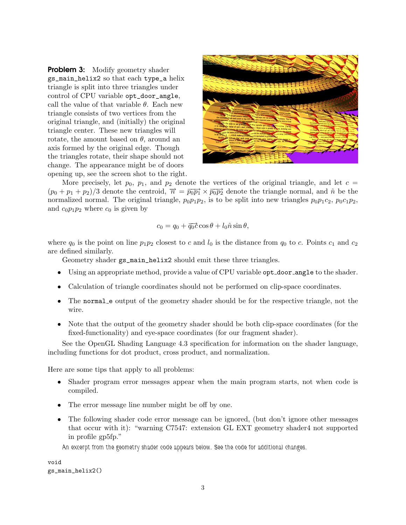**Problem 3:** Modify geometry shader gs\_main\_helix2 so that each type\_a helix triangle is split into three triangles under control of CPU variable opt\_door\_angle, call the value of that variable  $\theta$ . Each new triangle consists of two vertices from the original triangle, and (initially) the original triangle center. These new triangles will rotate, the amount based on  $\theta$ , around an axis formed by the original edge. Though the triangles rotate, their shape should not change. The appearance might be of doors opening up, see the screen shot to the right.



More precisely, let  $p_0$ ,  $p_1$ , and  $p_2$  denote the vertices of the original triangle, and let  $c =$  $(p_0 + p_1 + p_2)/3$  denote the centroid,  $\overrightarrow{n} = \overrightarrow{p_0 p_1} \times \overrightarrow{p_0 p_2}$  denote the triangle normal, and  $\hat{n}$  be the normalized normal. The original triangle,  $p_0p_1p_2$ , is to be split into new triangles  $p_0p_1c_2$ ,  $p_0c_1p_2$ , and  $c_0p_1p_2$  where  $c_0$  is given by

$$
c_0 = q_0 + \overline{q_0} \dot{c} \cos \theta + l_0 \hat{n} \sin \theta,
$$

where  $q_0$  is the point on line  $p_1p_2$  closest to c and  $l_0$  is the distance from  $q_0$  to c. Points  $c_1$  and  $c_2$ are defined similarly.

Geometry shader gs\_main\_helix2 should emit these three triangles.

- Using an appropriate method, provide a value of CPU variable opt\_door\_angle to the shader.
- Calculation of triangle coordinates should not be performed on clip-space coordinates.
- The normal e output of the geometry shader should be for the respective triangle, not the wire.
- Note that the output of the geometry shader should be both clip-space coordinates (for the fixed-functionality) and eye-space coordinates (for our fragment shader).

See the OpenGL Shading Language 4.3 specification for information on the shader language, including functions for dot product, cross product, and normalization.

Here are some tips that apply to all problems:

- Shader program error messages appear when the main program starts, not when code is compiled.
- The error message line number might be off by one.
- The following shader code error message can be ignored, (but don't ignore other messages that occur with it): "warning C7547: extension GL EXT geometry shader4 not supported in profile gp5fp."

*An excerpt from the geometry shader code appears below. See the code for additional changes.*

void gs\_main\_helix2()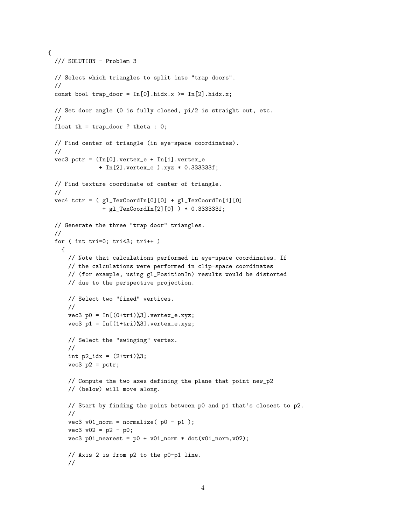```
{
  /// SOLUTION - Problem 3
 // Select which triangles to split into "trap doors".
 //
  const bool trap_door = In[0].hidx.x >= In[2].hidx.x;
 // Set door angle (0 is fully closed, pi/2 is straight out, etc.
  //
 float th = trap_door ? theta : 0;
  // Find center of triangle (in eye-space coordinates).
  //
  vec3 pctr = (In[0].vertex_e + In[1].vertex_e+ In[2].vertex_e ).xyz * 0.333333f;
 // Find texture coordinate of center of triangle.
  //
  vec4 tctr = ( gl_TexCoordIn[0][0] + gl_TexCoordIn[1][0]+ gl_TexCoordIn[2][0] ) * 0.333333f;
  // Generate the three "trap door" triangles.
 //
  for ( int tri=0; tri<3; tri++ )
    {
     // Note that calculations performed in eye-space coordinates. If
     // the calculations were performed in clip-space coordinates
     // (for example, using gl_PositionIn) results would be distorted
      // due to the perspective projection.
     // Select two "fixed" vertices.
      //
      vec3 p0 = In[(0+tri)\%3].vertex_e.xyz;
      vec3 p1 = \text{In}[(1+tri)\%3]. vertex_e.xyz;
      // Select the "swinging" vertex.
      //
      int p2\_idx = (2+tri)\%3;vec3 p2 = pctr;
      // Compute the two axes defining the plane that point new_p2
      // (below) will move along.
     // Start by finding the point between p0 and p1 that's closest to p2.
      //
      vec3 v01_norm = normalize(p0 - p1);
      vec3 v02 = p2 - p0;
      vec3 p01_nearest = p0 + v01_norm * dot(v01_norm, v02);
      // Axis 2 is from p2 to the p0-p1 line.
      //
```